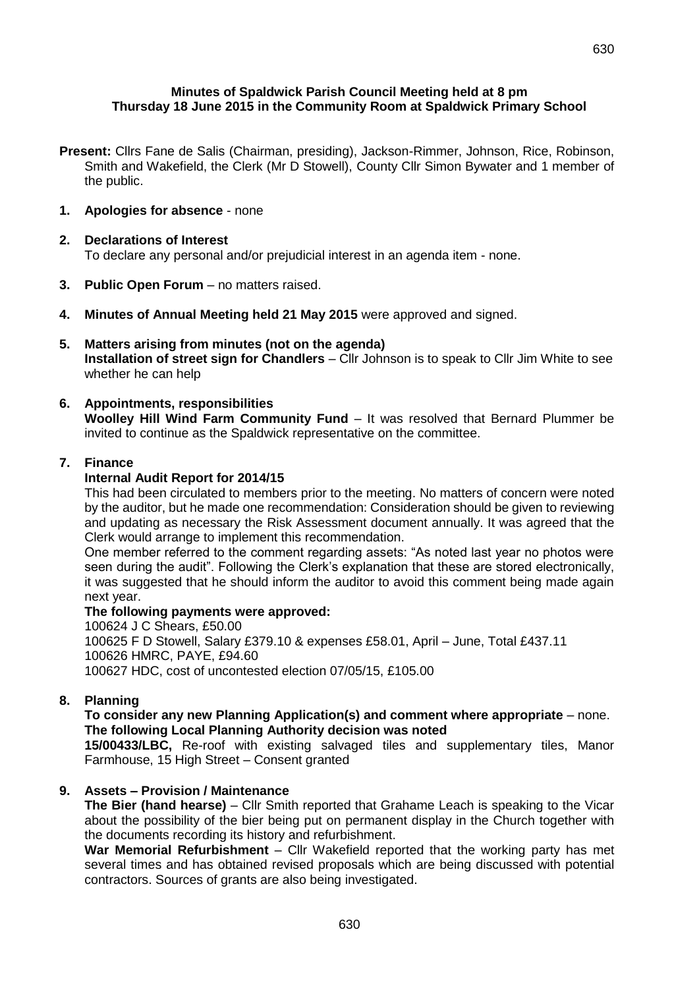## **Minutes of Spaldwick Parish Council Meeting held at 8 pm Thursday 18 June 2015 in the Community Room at Spaldwick Primary School**

- **Present:** Cllrs Fane de Salis (Chairman, presiding), Jackson-Rimmer, Johnson, Rice, Robinson, Smith and Wakefield, the Clerk (Mr D Stowell), County Cllr Simon Bywater and 1 member of the public.
- **1. Apologies for absence** none

#### **2. Declarations of Interest** To declare any personal and/or prejudicial interest in an agenda item - none.

- **3. Public Open Forum** no matters raised.
- **4. Minutes of Annual Meeting held 21 May 2015** were approved and signed.
- **5. Matters arising from minutes (not on the agenda) Installation of street sign for Chandlers** – Cllr Johnson is to speak to Cllr Jim White to see whether he can help

#### **6. Appointments, responsibilities Woolley Hill Wind Farm Community Fund** – It was resolved that Bernard Plummer be invited to continue as the Spaldwick representative on the committee.

## **7. Finance**

# **Internal Audit Report for 2014/15**

This had been circulated to members prior to the meeting. No matters of concern were noted by the auditor, but he made one recommendation: Consideration should be given to reviewing and updating as necessary the Risk Assessment document annually. It was agreed that the Clerk would arrange to implement this recommendation.

One member referred to the comment regarding assets: "As noted last year no photos were seen during the audit". Following the Clerk's explanation that these are stored electronically, it was suggested that he should inform the auditor to avoid this comment being made again next year.

### **The following payments were approved:**

100624 J C Shears, £50.00 100625 F D Stowell, Salary £379.10 & expenses £58.01, April – June, Total £437.11 100626 HMRC, PAYE, £94.60 100627 HDC, cost of uncontested election 07/05/15, £105.00

# **8. Planning**

## **To consider any new Planning Application(s) and comment where appropriate** – none. **The following Local Planning Authority decision was noted**

**15/00433/LBC,** Re-roof with existing salvaged tiles and supplementary tiles, Manor Farmhouse, 15 High Street – Consent granted

# **9. Assets – Provision / Maintenance**

**The Bier (hand hearse)** – Cllr Smith reported that Grahame Leach is speaking to the Vicar about the possibility of the bier being put on permanent display in the Church together with the documents recording its history and refurbishment.

**War Memorial Refurbishment** – Cllr Wakefield reported that the working party has met several times and has obtained revised proposals which are being discussed with potential contractors. Sources of grants are also being investigated.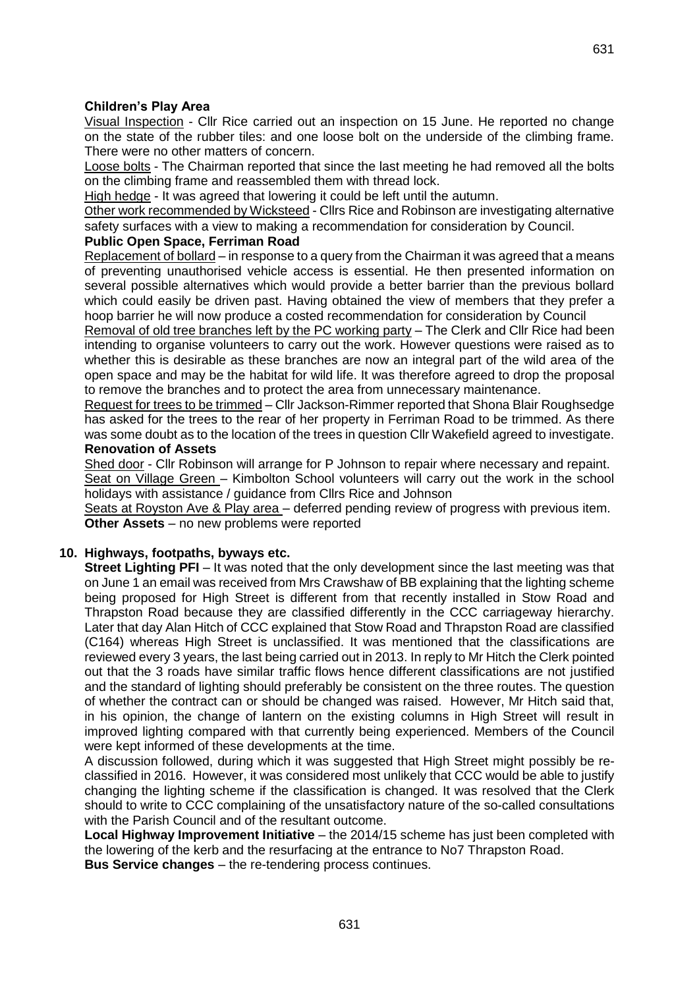## **Children's Play Area**

Visual Inspection - Cllr Rice carried out an inspection on 15 June. He reported no change on the state of the rubber tiles: and one loose bolt on the underside of the climbing frame. There were no other matters of concern.

Loose bolts - The Chairman reported that since the last meeting he had removed all the bolts on the climbing frame and reassembled them with thread lock.

High hedge - It was agreed that lowering it could be left until the autumn.

Other work recommended by Wicksteed - Cllrs Rice and Robinson are investigating alternative safety surfaces with a view to making a recommendation for consideration by Council.

## **Public Open Space, Ferriman Road**

Replacement of bollard – in response to a query from the Chairman it was agreed that a means of preventing unauthorised vehicle access is essential. He then presented information on several possible alternatives which would provide a better barrier than the previous bollard which could easily be driven past. Having obtained the view of members that they prefer a hoop barrier he will now produce a costed recommendation for consideration by Council

Removal of old tree branches left by the PC working party – The Clerk and Cllr Rice had been intending to organise volunteers to carry out the work. However questions were raised as to whether this is desirable as these branches are now an integral part of the wild area of the open space and may be the habitat for wild life. It was therefore agreed to drop the proposal to remove the branches and to protect the area from unnecessary maintenance.

Request for trees to be trimmed – Cllr Jackson-Rimmer reported that Shona Blair Roughsedge has asked for the trees to the rear of her property in Ferriman Road to be trimmed. As there was some doubt as to the location of the trees in question Cllr Wakefield agreed to investigate. **Renovation of Assets**

Shed door - Cllr Robinson will arrange for P Johnson to repair where necessary and repaint. Seat on Village Green – Kimbolton School volunteers will carry out the work in the school holidays with assistance / guidance from Cllrs Rice and Johnson

Seats at Royston Ave & Play area – deferred pending review of progress with previous item. **Other Assets** – no new problems were reported

# **10. Highways, footpaths, byways etc.**

**Street Lighting PFI** – It was noted that the only development since the last meeting was that on June 1 an email was received from Mrs Crawshaw of BB explaining that the lighting scheme being proposed for High Street is different from that recently installed in Stow Road and Thrapston Road because they are classified differently in the CCC carriageway hierarchy. Later that day Alan Hitch of CCC explained that Stow Road and Thrapston Road are classified (C164) whereas High Street is unclassified. It was mentioned that the classifications are reviewed every 3 years, the last being carried out in 2013. In reply to Mr Hitch the Clerk pointed out that the 3 roads have similar traffic flows hence different classifications are not justified and the standard of lighting should preferably be consistent on the three routes. The question of whether the contract can or should be changed was raised. However, Mr Hitch said that, in his opinion, the change of lantern on the existing columns in High Street will result in improved lighting compared with that currently being experienced. Members of the Council were kept informed of these developments at the time.

A discussion followed, during which it was suggested that High Street might possibly be reclassified in 2016. However, it was considered most unlikely that CCC would be able to justify changing the lighting scheme if the classification is changed. It was resolved that the Clerk should to write to CCC complaining of the unsatisfactory nature of the so-called consultations with the Parish Council and of the resultant outcome.

**Local Highway Improvement Initiative** – the 2014/15 scheme has just been completed with the lowering of the kerb and the resurfacing at the entrance to No7 Thrapston Road.

**Bus Service changes** – the re-tendering process continues.